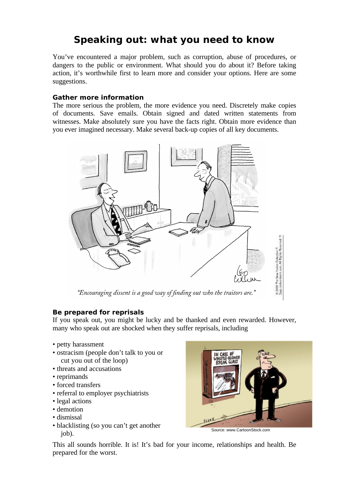# **Speaking out: what you need to know**

You've encountered a major problem, such as corruption, abuse of procedures, or dangers to the public or environment. What should you do about it? Before taking action, it's worthwhile first to learn more and consider your options. Here are some suggestions.

#### **Gather more information**

The more serious the problem, the more evidence you need. Discretely make copies of documents. Save emails. Obtain signed and dated written statements from witnesses. Make absolutely sure you have the facts right. Obtain more evidence than you ever imagined necessary. Make several back-up copies of all key documents.



"Encouraging dissent is a good way of finding out who the traitors are."

## **Be prepared for reprisals**

If you speak out, you might be lucky and be thanked and even rewarded. However, many who speak out are shocked when they suffer reprisals, including

- petty harassment
- ostracism (people don't talk to you or cut you out of the loop)
- threats and accusations
- reprimands
- forced transfers
- referral to employer psychiatrists
- legal actions
- demotion
- dismissal
- blacklisting (so you can't get another job). Source: www.CartoonStock.com



This all sounds horrible. It is! It's bad for your income, relationships and health. Be prepared for the worst.